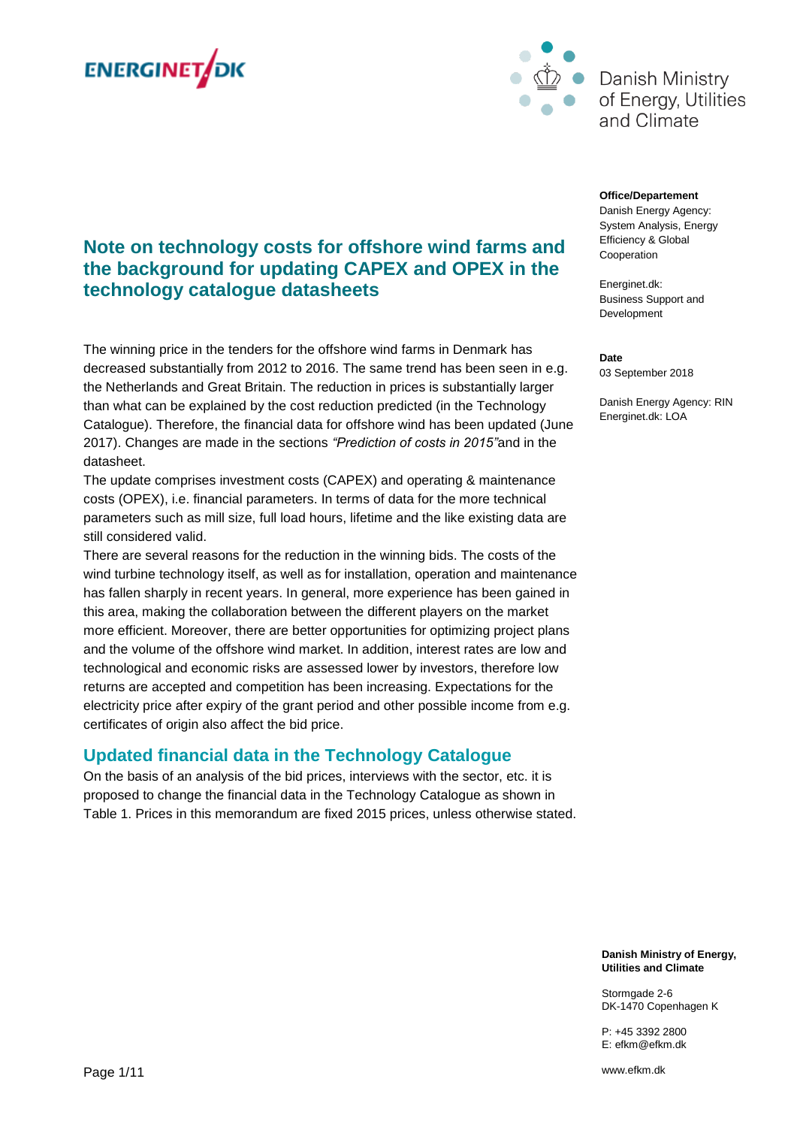



# **Note on technology costs for offshore wind farms and the background for updating CAPEX and OPEX in the technology catalogue datasheets**

The winning price in the tenders for the offshore wind farms in Denmark has decreased substantially from 2012 to 2016. The same trend has been seen in e.g. the Netherlands and Great Britain. The reduction in prices is substantially larger than what can be explained by the cost reduction predicted (in the Technology Catalogue). Therefore, the financial data for offshore wind has been updated (June 2017). Changes are made in the sections *"Prediction of costs in 2015"*and in the datasheet.

The update comprises investment costs (CAPEX) and operating & maintenance costs (OPEX), i.e. financial parameters. In terms of data for the more technical parameters such as mill size, full load hours, lifetime and the like existing data are still considered valid.

There are several reasons for the reduction in the winning bids. The costs of the wind turbine technology itself, as well as for installation, operation and maintenance has fallen sharply in recent years. In general, more experience has been gained in this area, making the collaboration between the different players on the market more efficient. Moreover, there are better opportunities for optimizing project plans and the volume of the offshore wind market. In addition, interest rates are low and technological and economic risks are assessed lower by investors, therefore low returns are accepted and competition has been increasing. Expectations for the electricity price after expiry of the grant period and other possible income from e.g. certificates of origin also affect the bid price.

### **Updated financial data in the Technology Catalogue**

On the basis of an analysis of the bid prices, interviews with the sector, etc. it is proposed to change the financial data in the Technology Catalogue as shown in Table 1. Prices in this memorandum are fixed 2015 prices, unless otherwise stated.

#### **Office/Departement**

Danish Energy Agency: System Analysis, Energy Efficiency & Global Cooperation

Energinet.dk: Business Support and Development

**Date** 03 September 2018

Danish Energy Agency: RIN Energinet.dk: LOA

**Danish Ministry of Energy, Utilities and Climate**

Stormgade 2-6 DK-1470 Copenhagen K

P: +45 3392 2800 E: efkm@efkm.dk

www.efkm.dk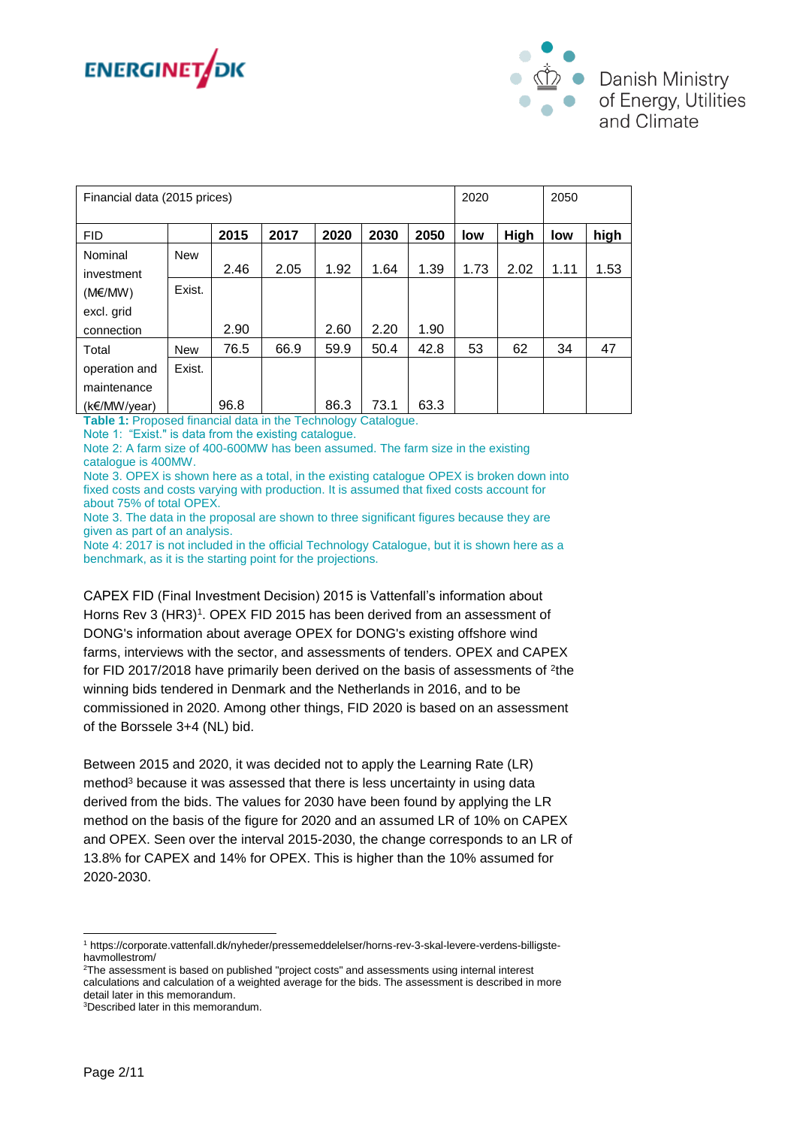



| Financial data (2015 prices) |            |      |      |      |      |      |      | 2020        |      | 2050 |  |
|------------------------------|------------|------|------|------|------|------|------|-------------|------|------|--|
| <b>FID</b>                   |            | 2015 | 2017 | 2020 | 2030 | 2050 | low  | <b>High</b> | low  | high |  |
| Nominal<br>investment        | <b>New</b> | 2.46 | 2.05 | 1.92 | 1.64 | 1.39 | 1.73 | 2.02        | 1.11 | 1.53 |  |
| $(M\epsilon/MW)$             | Exist.     |      |      |      |      |      |      |             |      |      |  |
| excl. grid                   |            |      |      |      |      |      |      |             |      |      |  |
| connection                   |            | 2.90 |      | 2.60 | 2.20 | 1.90 |      |             |      |      |  |
| Total                        | <b>New</b> | 76.5 | 66.9 | 59.9 | 50.4 | 42.8 | 53   | 62          | 34   | 47   |  |
| operation and                | Exist.     |      |      |      |      |      |      |             |      |      |  |
| maintenance                  |            |      |      |      |      |      |      |             |      |      |  |
| $(k \in /M W/\text{year})$   |            | 96.8 |      | 86.3 | 73.1 | 63.3 |      |             |      |      |  |

**Table 1:** Proposed financial data in the Technology Catalogue.

Note 1: "Exist." is data from the existing catalogue.

Note 2: A farm size of 400-600MW has been assumed. The farm size in the existing catalogue is 400MW.

Note 3. OPEX is shown here as a total, in the existing catalogue OPEX is broken down into fixed costs and costs varying with production. It is assumed that fixed costs account for about 75% of total OPEX.

Note 3. The data in the proposal are shown to three significant figures because they are given as part of an analysis.

Note 4: 2017 is not included in the official Technology Catalogue, but it is shown here as a benchmark, as it is the starting point for the projections.

CAPEX FID (Final Investment Decision) 2015 is Vattenfall's information about Horns Rev 3 (HR3)<sup>1</sup>. OPEX FID 2015 has been derived from an assessment of DONG's information about average OPEX for DONG's existing offshore wind farms, interviews with the sector, and assessments of tenders. OPEX and CAPEX for FID 2017/2018 have primarily been derived on the basis of assessments of <sup>2</sup>the winning bids tendered in Denmark and the Netherlands in 2016, and to be commissioned in 2020. Among other things, FID 2020 is based on an assessment of the Borssele 3+4 (NL) bid.

Between 2015 and 2020, it was decided not to apply the Learning Rate (LR) method<sup>3</sup> because it was assessed that there is less uncertainty in using data derived from the bids. The values for 2030 have been found by applying the LR method on the basis of the figure for 2020 and an assumed LR of 10% on CAPEX and OPEX. Seen over the interval 2015-2030, the change corresponds to an LR of 13.8% for CAPEX and 14% for OPEX. This is higher than the 10% assumed for 2020-2030.

l <sup>1</sup> https://corporate.vattenfall.dk/nyheder/pressemeddelelser/horns-rev-3-skal-levere-verdens-billigstehavmollestrom/

<sup>2</sup>The assessment is based on published "project costs" and assessments using internal interest calculations and calculation of a weighted average for the bids. The assessment is described in more detail later in this memorandum.

<sup>3</sup>Described later in this memorandum.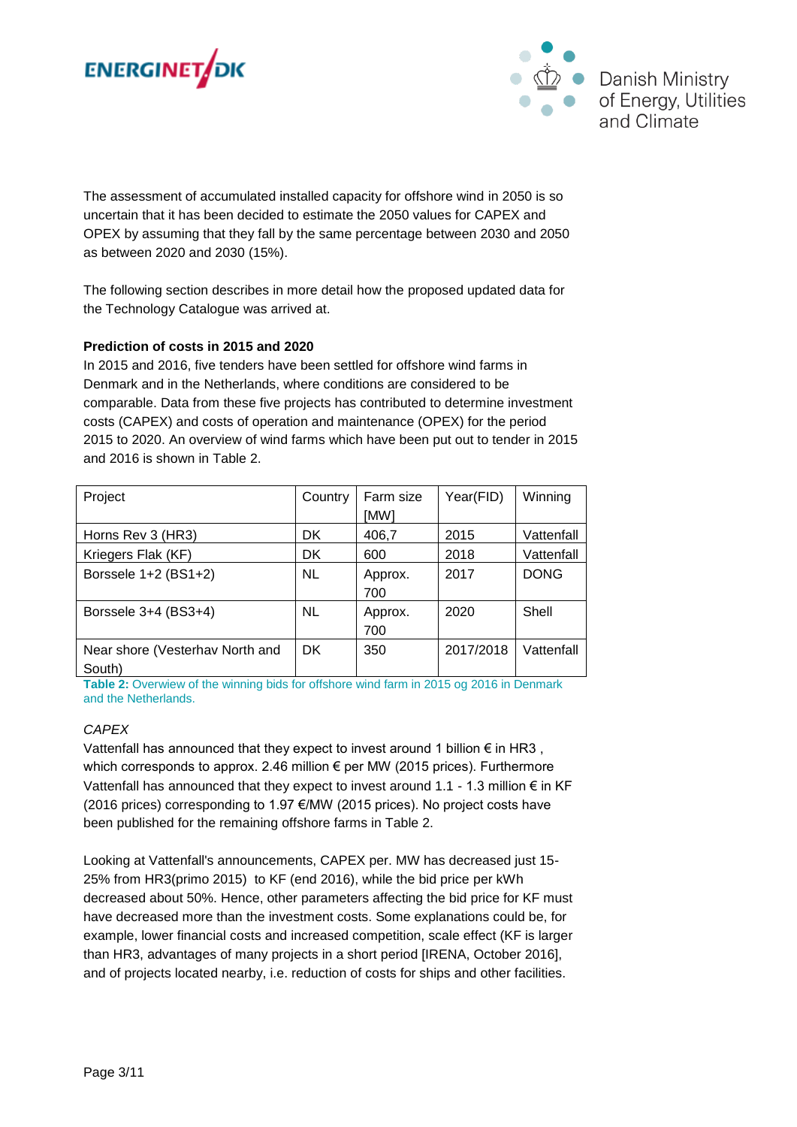



The assessment of accumulated installed capacity for offshore wind in 2050 is so uncertain that it has been decided to estimate the 2050 values for CAPEX and OPEX by assuming that they fall by the same percentage between 2030 and 2050 as between 2020 and 2030 (15%).

The following section describes in more detail how the proposed updated data for the Technology Catalogue was arrived at.

### **Prediction of costs in 2015 and 2020**

In 2015 and 2016, five tenders have been settled for offshore wind farms in Denmark and in the Netherlands, where conditions are considered to be comparable. Data from these five projects has contributed to determine investment costs (CAPEX) and costs of operation and maintenance (OPEX) for the period 2015 to 2020. An overview of wind farms which have been put out to tender in 2015 and 2016 is shown in Table 2.

| Project                                   | Country   | Farm size<br>[MW] | Year(FID) | Winning     |
|-------------------------------------------|-----------|-------------------|-----------|-------------|
| Horns Rev 3 (HR3)                         | DK        | 406,7             | 2015      | Vattenfall  |
| Kriegers Flak (KF)                        | DK        | 600               | 2018      | Vattenfall  |
| Borssele 1+2 (BS1+2)                      | <b>NL</b> | Approx.<br>700    | 2017      | <b>DONG</b> |
| Borssele 3+4 (BS3+4)                      | NL.       | Approx.<br>700    | 2020      | Shell       |
| Near shore (Vesterhav North and<br>South) | DK.       | 350               | 2017/2018 | Vattenfall  |

**Table 2:** Overwiew of the winning bids for offshore wind farm in 2015 og 2016 in Denmark and the Netherlands.

#### *CAPEX*

Vattenfall has announced that they expect to invest around 1 billion  $\epsilon$  in HR3, which corresponds to approx. 2.46 million € per MW (2015 prices). Furthermore Vattenfall has announced that they expect to invest around 1.1 - 1.3 million € in KF (2016 prices) corresponding to 1.97 €/MW (2015 prices). No project costs have been published for the remaining offshore farms in Table 2.

Looking at Vattenfall's announcements, CAPEX per. MW has decreased just 15- 25% from HR3(primo 2015) to KF (end 2016), while the bid price per kWh decreased about 50%. Hence, other parameters affecting the bid price for KF must have decreased more than the investment costs. Some explanations could be, for example, lower financial costs and increased competition, scale effect (KF is larger than HR3, advantages of many projects in a short period [IRENA, October 2016], and of projects located nearby, i.e. reduction of costs for ships and other facilities.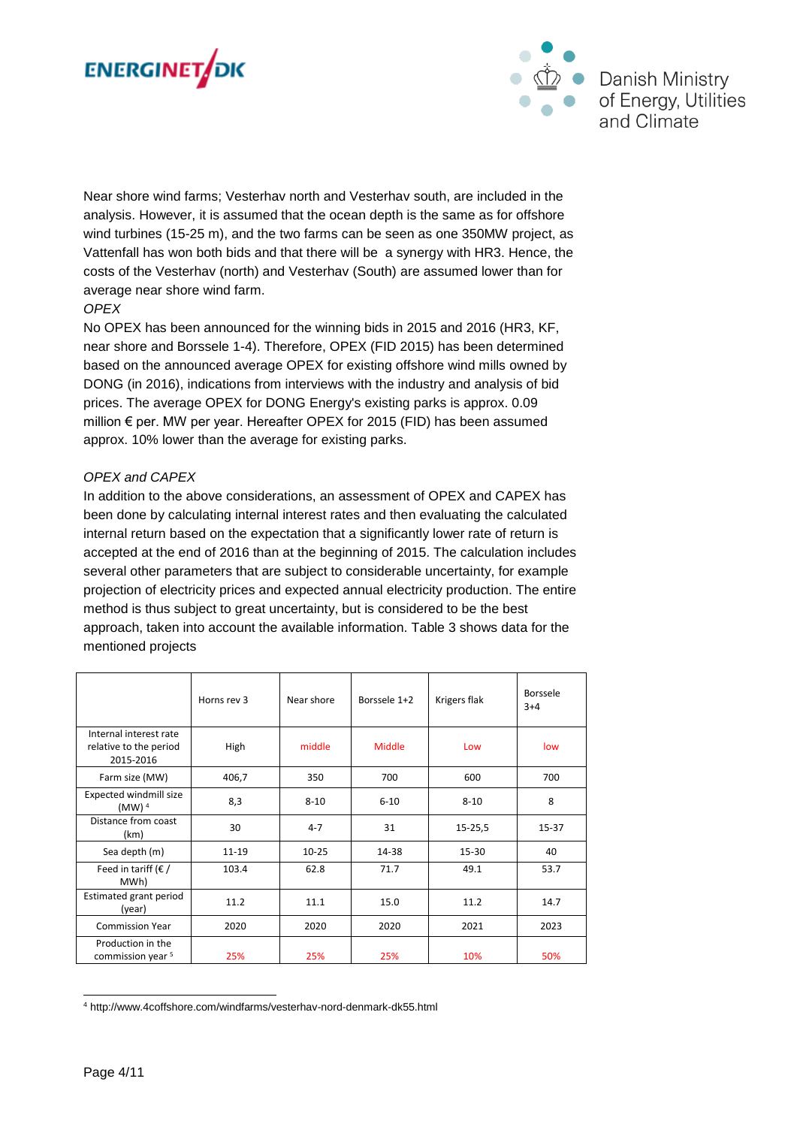



Near shore wind farms; Vesterhav north and Vesterhav south, are included in the analysis. However, it is assumed that the ocean depth is the same as for offshore wind turbines (15-25 m), and the two farms can be seen as one 350MW project, as Vattenfall has won both bids and that there will be a synergy with HR3. Hence, the costs of the Vesterhav (north) and Vesterhav (South) are assumed lower than for average near shore wind farm.

#### *OPEX*

No OPEX has been announced for the winning bids in 2015 and 2016 (HR3, KF, near shore and Borssele 1-4). Therefore, OPEX (FID 2015) has been determined based on the announced average OPEX for existing offshore wind mills owned by DONG (in 2016), indications from interviews with the industry and analysis of bid prices. The average OPEX for DONG Energy's existing parks is approx. 0.09 million € per. MW per year. Hereafter OPEX for 2015 (FID) has been assumed approx. 10% lower than the average for existing parks.

#### *OPEX and CAPEX*

In addition to the above considerations, an assessment of OPEX and CAPEX has been done by calculating internal interest rates and then evaluating the calculated internal return based on the expectation that a significantly lower rate of return is accepted at the end of 2016 than at the beginning of 2015. The calculation includes several other parameters that are subject to considerable uncertainty, for example projection of electricity prices and expected annual electricity production. The entire method is thus subject to great uncertainty, but is considered to be the best approach, taken into account the available information. Table 3 shows data for the mentioned projects

|                                                               | Horns rev 3 | Near shore | Borssele 1+2 | Krigers flak | Borssele<br>$3+4$ |
|---------------------------------------------------------------|-------------|------------|--------------|--------------|-------------------|
| Internal interest rate<br>relative to the period<br>2015-2016 | High        | middle     | Middle       | Low          | low               |
| Farm size (MW)                                                | 406,7       | 350        | 700          | 600          | 700               |
| Expected windmill size<br>(MW) <sup>4</sup>                   | 8,3         | $8 - 10$   | $6 - 10$     | $8 - 10$     | 8                 |
| Distance from coast<br>(km)                                   | 30          | $4 - 7$    | 31           | 15-25,5      | 15-37             |
| Sea depth (m)                                                 | $11 - 19$   | $10 - 25$  | 14-38        | 15-30        | 40                |
| Feed in tariff ( $\epsilon$ /<br>MWh)                         | 103.4       | 62.8       | 71.7         | 49.1         | 53.7              |
| Estimated grant period<br>(year)                              | 11.2        | 11.1       | 15.0         | 11.2         | 14.7              |
| <b>Commission Year</b>                                        | 2020        | 2020       | 2020         | 2021         | 2023              |
| Production in the<br>commission year <sup>5</sup>             | 25%         | 25%        | 25%          | 10%          | 50%               |

l <sup>4</sup> http://www.4coffshore.com/windfarms/vesterhav-nord-denmark-dk55.html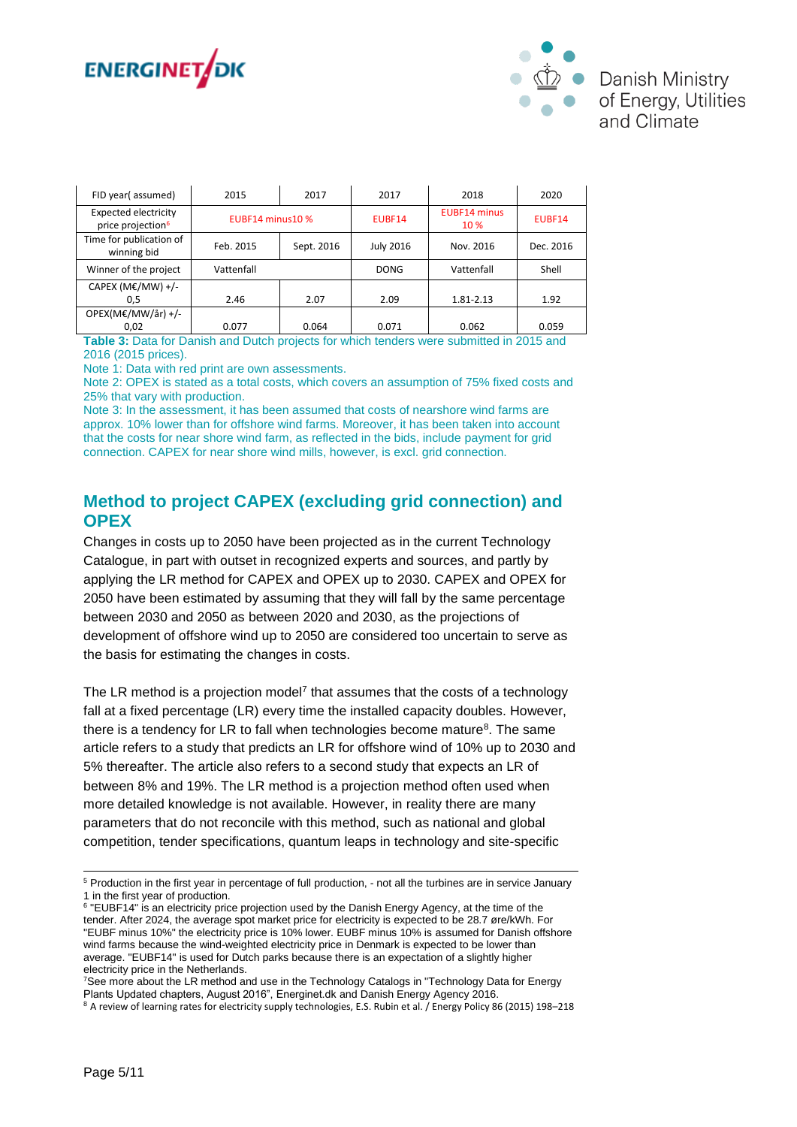



| FID year(assumed)                                            | 2015             | 2017<br>2017 |                  | 2018                        | 2020      |
|--------------------------------------------------------------|------------------|--------------|------------------|-----------------------------|-----------|
| <b>Expected electricity</b><br>price projection <sup>6</sup> | EUBF14 minus10 % |              | EUBF14           | <b>EUBF14 minus</b><br>10 % | EUBF14    |
| Time for publication of<br>winning bid                       | Feb. 2015        | Sept. 2016   | <b>July 2016</b> | Nov. 2016                   | Dec. 2016 |
| Winner of the project                                        | Vattenfall       |              | <b>DONG</b>      | Vattenfall                  | Shell     |
| CAPEX (ME/MW) +/-                                            |                  |              |                  |                             |           |
| 0,5                                                          | 2.46             | 2.07         | 2.09             | 1.81-2.13                   | 1.92      |
| OPEX(M€/MW/år) +/-                                           |                  |              |                  |                             |           |
| 0.02                                                         | 0.077            | 0.064        | 0.071            | 0.062                       | 0.059     |

**Table 3:** Data for Danish and Dutch projects for which tenders were submitted in 2015 and 2016 (2015 prices).

Note 1: Data with red print are own assessments.

Note 2: OPEX is stated as a total costs, which covers an assumption of 75% fixed costs and 25% that vary with production.

Note 3: In the assessment, it has been assumed that costs of nearshore wind farms are approx. 10% lower than for offshore wind farms. Moreover, it has been taken into account that the costs for near shore wind farm, as reflected in the bids, include payment for grid connection. CAPEX for near shore wind mills, however, is excl. grid connection.

## **Method to project CAPEX (excluding grid connection) and OPEX**

Changes in costs up to 2050 have been projected as in the current Technology Catalogue, in part with outset in recognized experts and sources, and partly by applying the LR method for CAPEX and OPEX up to 2030. CAPEX and OPEX for 2050 have been estimated by assuming that they will fall by the same percentage between 2030 and 2050 as between 2020 and 2030, as the projections of development of offshore wind up to 2050 are considered too uncertain to serve as the basis for estimating the changes in costs.

The LR method is a projection model<sup>7</sup> that assumes that the costs of a technology fall at a fixed percentage (LR) every time the installed capacity doubles. However, there is a tendency for LR to fall when technologies become mature<sup>8</sup>. The same article refers to a study that predicts an LR for offshore wind of 10% up to 2030 and 5% thereafter. The article also refers to a second study that expects an LR of between 8% and 19%. The LR method is a projection method often used when more detailed knowledge is not available. However, in reality there are many parameters that do not reconcile with this method, such as national and global competition, tender specifications, quantum leaps in technology and site-specific

<sup>7</sup>See more about the LR method and use in the Technology Catalogs in "Technology Data for Energy Plants Updated chapters, August 2016", Energinet.dk and Danish Energy Agency 2016.

-

<sup>5</sup> Production in the first year in percentage of full production, - not all the turbines are in service January 1 in the first year of production.

<sup>&</sup>lt;sup>6</sup> "EUBF14" is an electricity price projection used by the Danish Energy Agency, at the time of the tender. After 2024, the average spot market price for electricity is expected to be 28.7 øre/kWh. For "EUBF minus 10%" the electricity price is 10% lower. EUBF minus 10% is assumed for Danish offshore wind farms because the wind-weighted electricity price in Denmark is expected to be lower than average. "EUBF14" is used for Dutch parks because there is an expectation of a slightly higher electricity price in the Netherlands.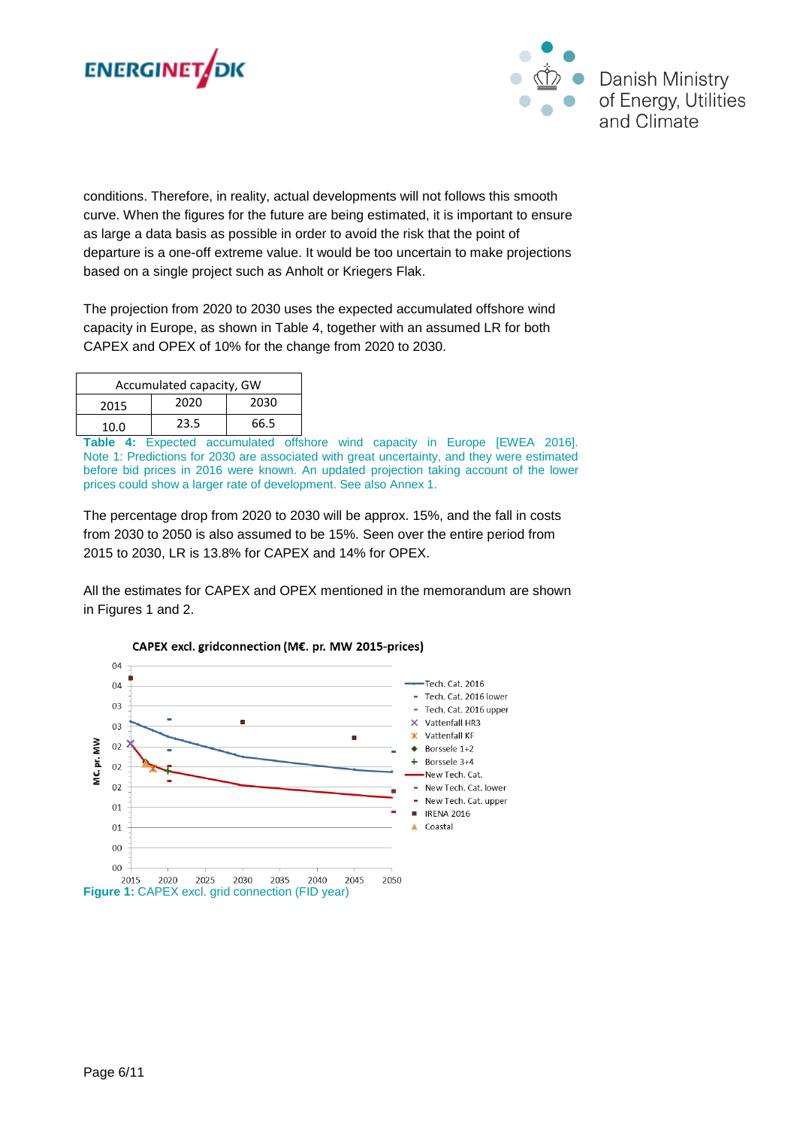



conditions. Therefore, in reality, actual developments will not follows this smooth curve. When the figures for the future are being estimated, it is important to ensure as large a data basis as possible in order to avoid the risk that the point of departure is a one-off extreme value. It would be too uncertain to make projections based on a single project such as Anholt or Kriegers Flak.

The projection from 2020 to 2030 uses the expected accumulated offshore wind capacity in Europe, as shown in Table 4, together with an assumed LR for both CAPEX and OPEX of 10% for the change from 2020 to 2030.

| Accumulated capacity, GW |      |      |  |  |  |  |  |  |
|--------------------------|------|------|--|--|--|--|--|--|
| 2015                     | 2030 |      |  |  |  |  |  |  |
| 10.0                     | 23.5 | 66.5 |  |  |  |  |  |  |

**Table 4:** Expected accumulated offshore wind capacity in Europe [EWEA 2016]. Note 1: Predictions for 2030 are associated with great uncertainty, and they were estimated before bid prices in 2016 were known. An updated projection taking account of the lower prices could show a larger rate of development. See also Annex 1.

The percentage drop from 2020 to 2030 will be approx. 15%, and the fall in costs from 2030 to 2050 is also assumed to be 15%. Seen over the entire period from 2015 to 2030, LR is 13.8% for CAPEX and 14% for OPEX.

All the estimates for CAPEX and OPEX mentioned in the memorandum are shown in Figures 1 and 2.



### CAPEX excl. gridconnection (M€. pr. MW 2015-prices)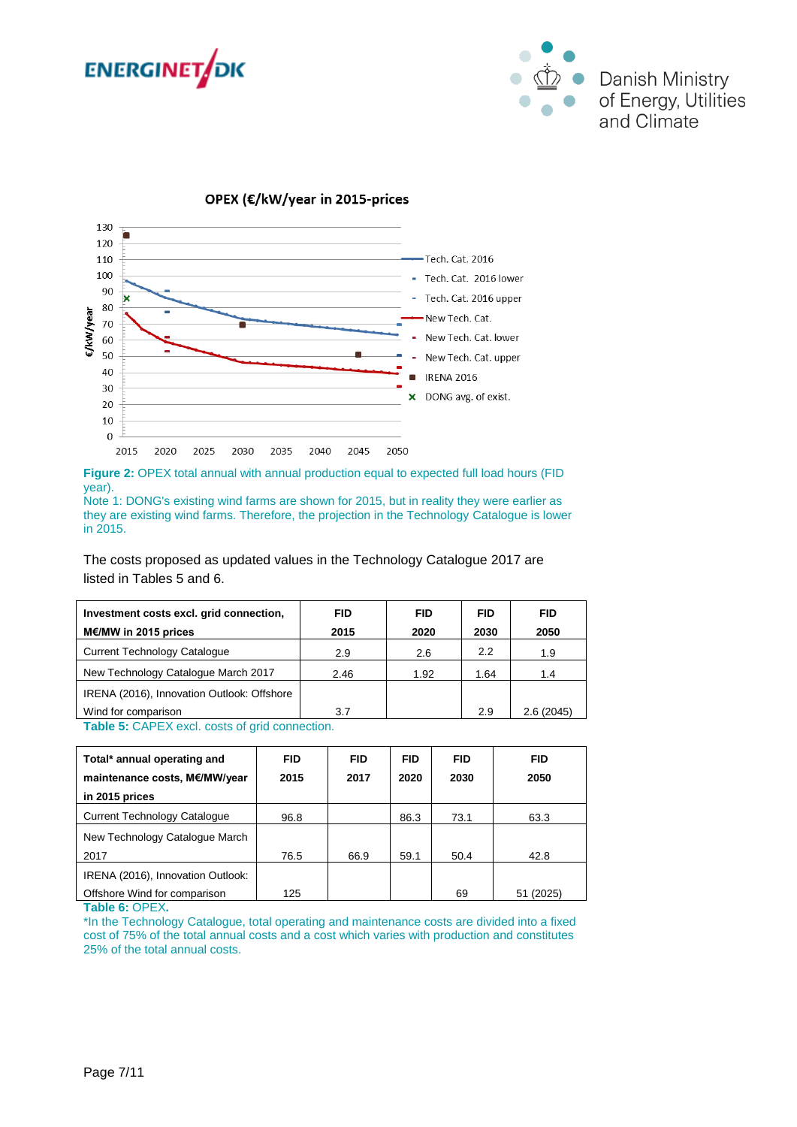



### OPEX (€/kW/year in 2015-prices



**Figure 2:** OPEX total annual with annual production equal to expected full load hours (FID year).

Note 1: DONG's existing wind farms are shown for 2015, but in reality they were earlier as they are existing wind farms. Therefore, the projection in the Technology Catalogue is lower in 2015.

The costs proposed as updated values in the Technology Catalogue 2017 are listed in Tables 5 and 6.

| Investment costs excl. grid connection,           | <b>FID</b> | <b>FID</b> | <b>FID</b> | <b>FID</b> |  |  |  |  |  |
|---------------------------------------------------|------------|------------|------------|------------|--|--|--|--|--|
| M€/MW in 2015 prices                              | 2015       | 2020       | 2030       | 2050       |  |  |  |  |  |
| <b>Current Technology Catalogue</b>               | 2.9        | 2.6        | 2.2        | 1.9        |  |  |  |  |  |
| New Technology Catalogue March 2017               | 2.46       | 1.92       | 1.64       | 1.4        |  |  |  |  |  |
| IRENA (2016), Innovation Outlook: Offshore        |            |            |            |            |  |  |  |  |  |
| Wind for comparison                               | 3.7        |            | 2.9        | 2.6(2045)  |  |  |  |  |  |
| <b>Table 5:</b> CAPEX excludes of orid connection |            |            |            |            |  |  |  |  |  |

**Table 5:** CAPEX excl. costs of grid connection.

| Total* annual operating and<br>maintenance costs, M€/MW/year<br>in 2015 prices | <b>FID</b><br>2015 | <b>FID</b><br>2017 | <b>FID</b><br>2020 | <b>FID</b><br>2030 | <b>FID</b><br>2050 |
|--------------------------------------------------------------------------------|--------------------|--------------------|--------------------|--------------------|--------------------|
| <b>Current Technology Catalogue</b>                                            | 96.8               |                    | 86.3               | 73.1               | 63.3               |
| New Technology Catalogue March                                                 |                    |                    |                    |                    |                    |
| 2017                                                                           | 76.5               | 66.9               | 59.1               | 50.4               | 42.8               |
| IRENA (2016), Innovation Outlook:                                              |                    |                    |                    |                    |                    |
| Offshore Wind for comparison                                                   | 125                |                    |                    | 69                 | 51 (2025)          |

**Table 6:** OPEX**.** 

\*In the Technology Catalogue, total operating and maintenance costs are divided into a fixed cost of 75% of the total annual costs and a cost which varies with production and constitutes 25% of the total annual costs.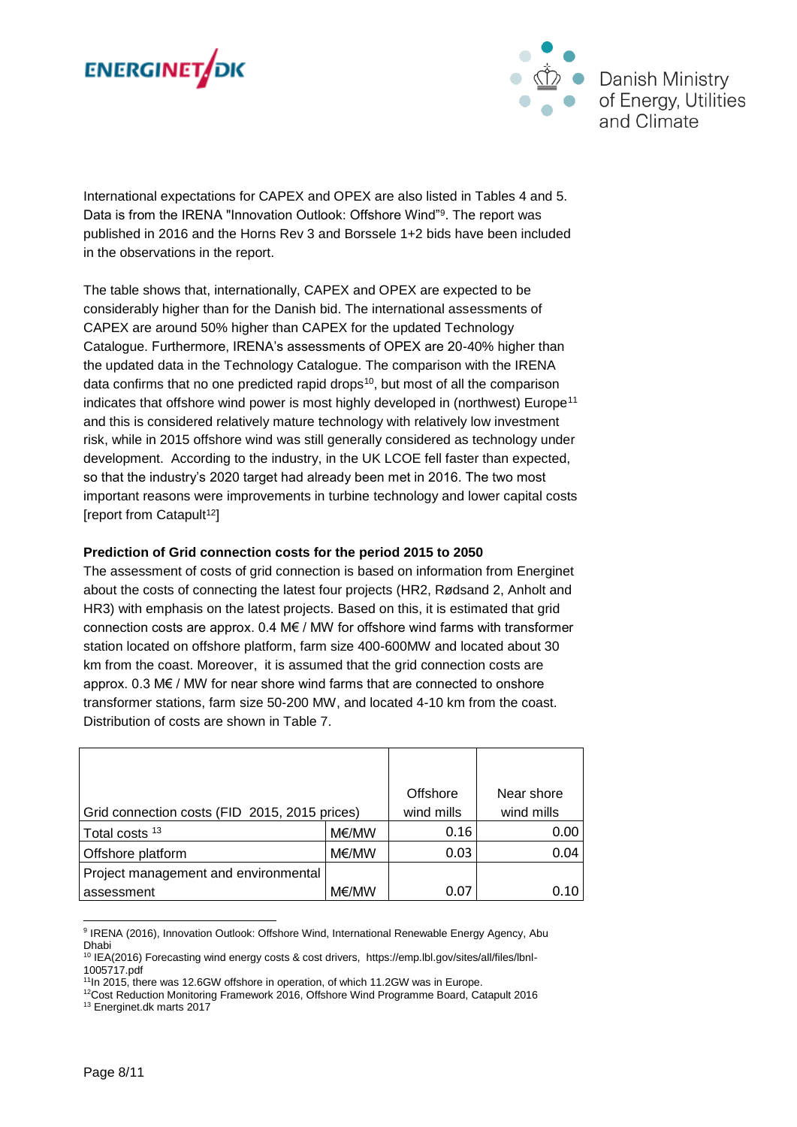



International expectations for CAPEX and OPEX are also listed in Tables 4 and 5. Data is from the IRENA "Innovation Outlook: Offshore Wind"<sup>9</sup>. The report was published in 2016 and the Horns Rev 3 and Borssele 1+2 bids have been included in the observations in the report.

The table shows that, internationally, CAPEX and OPEX are expected to be considerably higher than for the Danish bid. The international assessments of CAPEX are around 50% higher than CAPEX for the updated Technology Catalogue. Furthermore, IRENA's assessments of OPEX are 20-40% higher than the updated data in the Technology Catalogue. The comparison with the IRENA data confirms that no one predicted rapid drops<sup>10</sup>, but most of all the comparison indicates that offshore wind power is most highly developed in (northwest) Europe<sup>11</sup> and this is considered relatively mature technology with relatively low investment risk, while in 2015 offshore wind was still generally considered as technology under development. According to the industry, in the UK LCOE fell faster than expected, so that the industry's 2020 target had already been met in 2016. The two most important reasons were improvements in turbine technology and lower capital costs [report from Catapult<sup>12</sup>]

#### **Prediction of Grid connection costs for the period 2015 to 2050**

The assessment of costs of grid connection is based on information from Energinet about the costs of connecting the latest four projects (HR2, Rødsand 2, Anholt and HR3) with emphasis on the latest projects. Based on this, it is estimated that grid connection costs are approx.  $0.4 \text{ M} \in$  / MW for offshore wind farms with transformer station located on offshore platform, farm size 400-600MW and located about 30 km from the coast. Moreover, it is assumed that the grid connection costs are approx. 0.3 M€ / MW for near shore wind farms that are connected to onshore transformer stations, farm size 50-200 MW, and located 4-10 km from the coast. Distribution of costs are shown in Table 7.

|                                               |            | Offshore   | Near shore |
|-----------------------------------------------|------------|------------|------------|
| Grid connection costs (FID 2015, 2015 prices) | wind mills | wind mills |            |
| Total costs <sup>13</sup>                     | M€/MW      | 0.16       | 0.00       |
| Offshore platform                             | M€/MW      | 0.03       | 0.04       |
| Project management and environmental          |            |            |            |
| assessment                                    | M€/MW      | 0.07       | 0.10       |

l 9 IRENA (2016), Innovation Outlook: Offshore Wind, International Renewable Energy Agency, Abu Dhabi

<sup>10</sup> IEA(2016) Forecasting wind energy costs & cost drivers, https://emp.lbl.gov/sites/all/files/lbnl-1005717.pdf

<sup>&</sup>lt;sup>11</sup>In 2015, there was 12.6GW offshore in operation, of which 11.2GW was in Europe.

<sup>&</sup>lt;sup>12</sup>Cost Reduction Monitoring Framework 2016, Offshore Wind Programme Board, Catapult 2016 <sup>13</sup> Energinet.dk marts 2017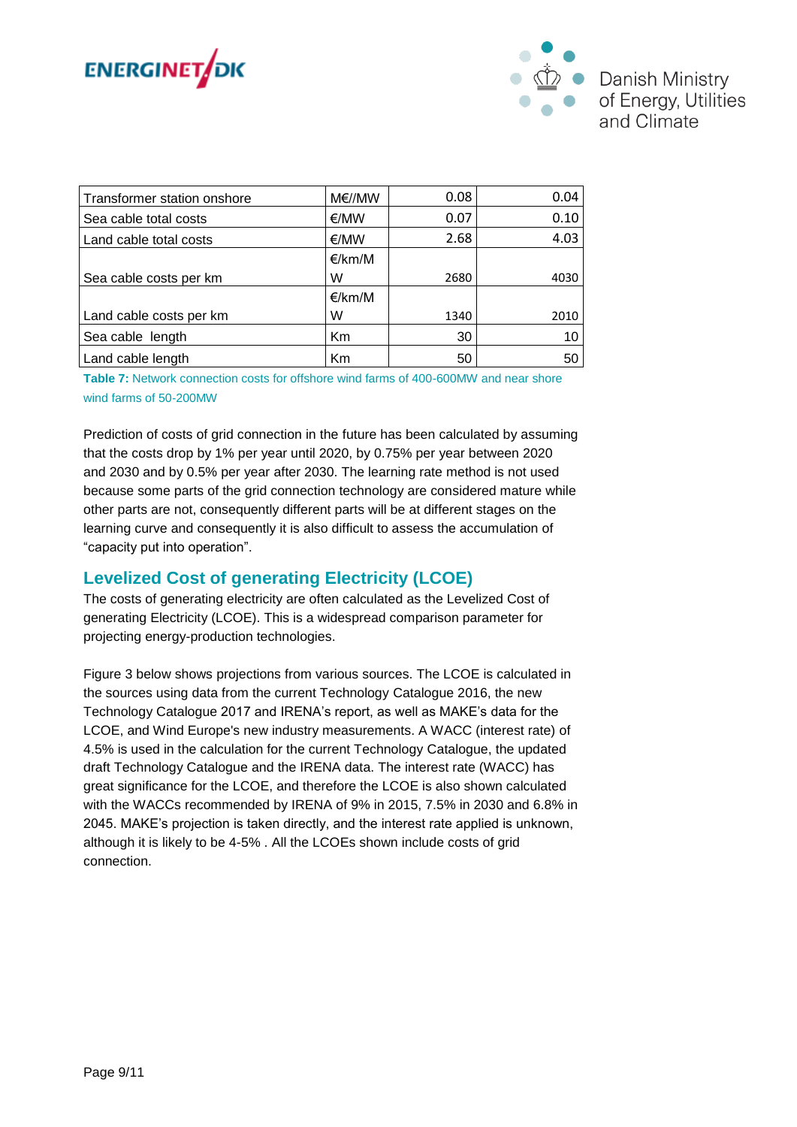



| Transformer station onshore | M€//MW | 0.08 | 0.04 |
|-----------------------------|--------|------|------|
| Sea cable total costs       | €/MW   | 0.07 | 0.10 |
| Land cable total costs      | €/MW   | 2.68 | 4.03 |
|                             | €/km/M |      |      |
| Sea cable costs per km      | W      | 2680 | 4030 |
|                             | €/km/M |      |      |
| Land cable costs per km     | W      | 1340 | 2010 |
| Sea cable length            | Km     | 30   | 10   |
| Land cable length           | Km     | 50   | 50   |

**Table 7:** Network connection costs for offshore wind farms of 400-600MW and near shore wind farms of 50-200MW

Prediction of costs of grid connection in the future has been calculated by assuming that the costs drop by 1% per year until 2020, by 0.75% per year between 2020 and 2030 and by 0.5% per year after 2030. The learning rate method is not used because some parts of the grid connection technology are considered mature while other parts are not, consequently different parts will be at different stages on the learning curve and consequently it is also difficult to assess the accumulation of "capacity put into operation".

### **Levelized Cost of generating Electricity (LCOE)**

The costs of generating electricity are often calculated as the Levelized Cost of generating Electricity (LCOE). This is a widespread comparison parameter for projecting energy-production technologies.

Figure 3 below shows projections from various sources. The LCOE is calculated in the sources using data from the current Technology Catalogue 2016, the new Technology Catalogue 2017 and IRENA's report, as well as MAKE's data for the LCOE, and Wind Europe's new industry measurements. A WACC (interest rate) of 4.5% is used in the calculation for the current Technology Catalogue, the updated draft Technology Catalogue and the IRENA data. The interest rate (WACC) has great significance for the LCOE, and therefore the LCOE is also shown calculated with the WACCs recommended by IRENA of 9% in 2015, 7.5% in 2030 and 6.8% in 2045. MAKE's projection is taken directly, and the interest rate applied is unknown, although it is likely to be 4-5% . All the LCOEs shown include costs of grid connection.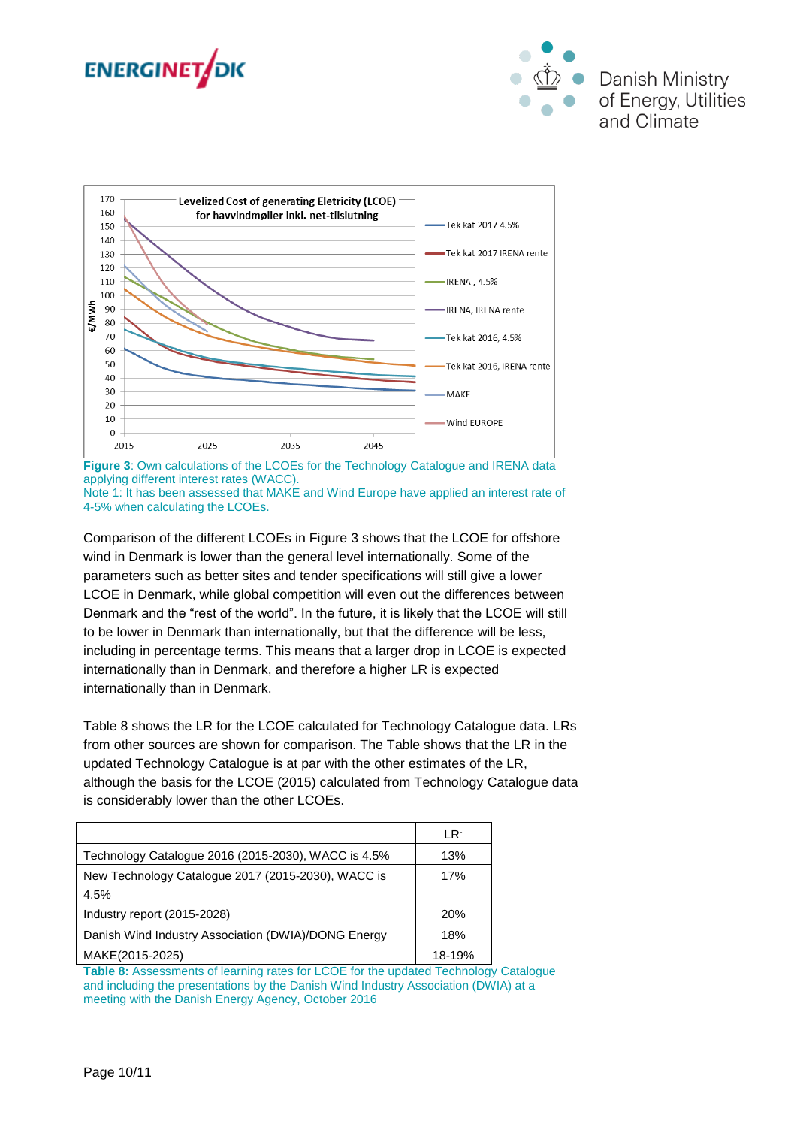





**Figure 3**: Own calculations of the LCOEs for the Technology Catalogue and IRENA data applying different interest rates (WACC). Note 1: It has been assessed that MAKE and Wind Europe have applied an interest rate of 4-5% when calculating the LCOEs.

Comparison of the different LCOEs in Figure 3 shows that the LCOE for offshore wind in Denmark is lower than the general level internationally. Some of the parameters such as better sites and tender specifications will still give a lower LCOE in Denmark, while global competition will even out the differences between Denmark and the "rest of the world". In the future, it is likely that the LCOE will still to be lower in Denmark than internationally, but that the difference will be less, including in percentage terms. This means that a larger drop in LCOE is expected internationally than in Denmark, and therefore a higher LR is expected internationally than in Denmark.

Table 8 shows the LR for the LCOE calculated for Technology Catalogue data. LRs from other sources are shown for comparison. The Table shows that the LR in the updated Technology Catalogue is at par with the other estimates of the LR, although the basis for the LCOE (2015) calculated from Technology Catalogue data is considerably lower than the other LCOEs.

|                                                     | LR <sup>.</sup> |
|-----------------------------------------------------|-----------------|
| Technology Catalogue 2016 (2015-2030), WACC is 4.5% | 13%             |
| New Technology Catalogue 2017 (2015-2030), WACC is  | 17%             |
| 4.5%                                                |                 |
| Industry report (2015-2028)                         | 20%             |
| Danish Wind Industry Association (DWIA)/DONG Energy | 18%             |
| MAKE(2015-2025)                                     | 18-19%          |

**Table 8:** Assessments of learning rates for LCOE for the updated Technology Catalogue and including the presentations by the Danish Wind Industry Association (DWIA) at a meeting with the Danish Energy Agency, October 2016